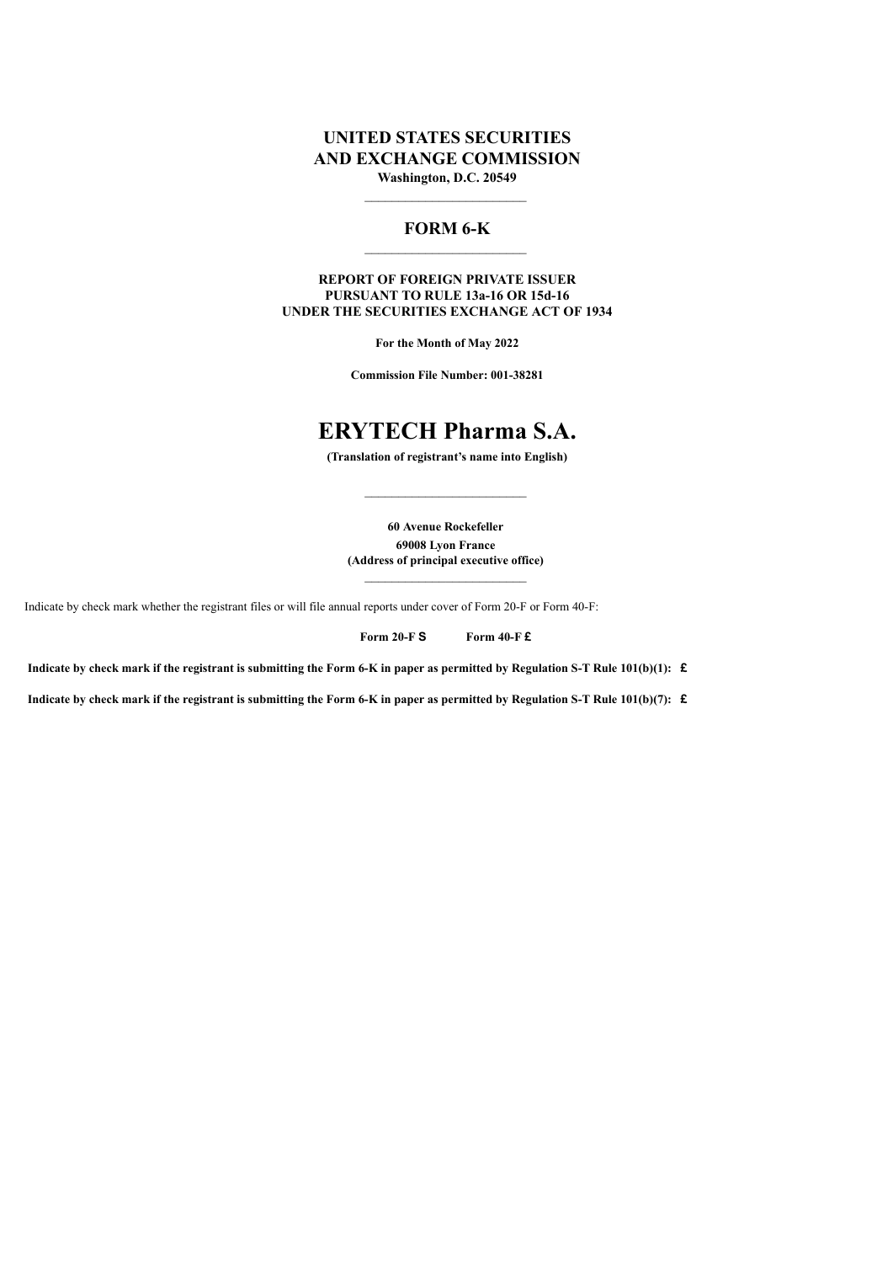# **UNITED STATES SECURITIES AND EXCHANGE COMMISSION Washington, D.C. 20549**

## **FORM 6-K**

**REPORT OF FOREIGN PRIVATE ISSUER PURSUANT TO RULE 13a-16 OR 15d-16 UNDER THE SECURITIES EXCHANGE ACT OF 1934**

**For the Month of May 2022**

**Commission File Number: 001-38281**

# **ERYTECH Pharma S.A.**

**(Translation of registrant's name into English)**

**60 Avenue Rockefeller 69008 Lyon France (Address of principal executive office)**

 $\mathcal{L}_\text{max}$ 

Indicate by check mark whether the registrant files or will file annual reports under cover of Form 20-F or Form 40-F:

**Form 20-F S Form 40-F £**

**Indicate by check mark if the registrant is submitting the Form 6-K in paper as permitted by Regulation S-T Rule 101(b)(1): £**

**Indicate by check mark if the registrant is submitting the Form 6-K in paper as permitted by Regulation S-T Rule 101(b)(7): £**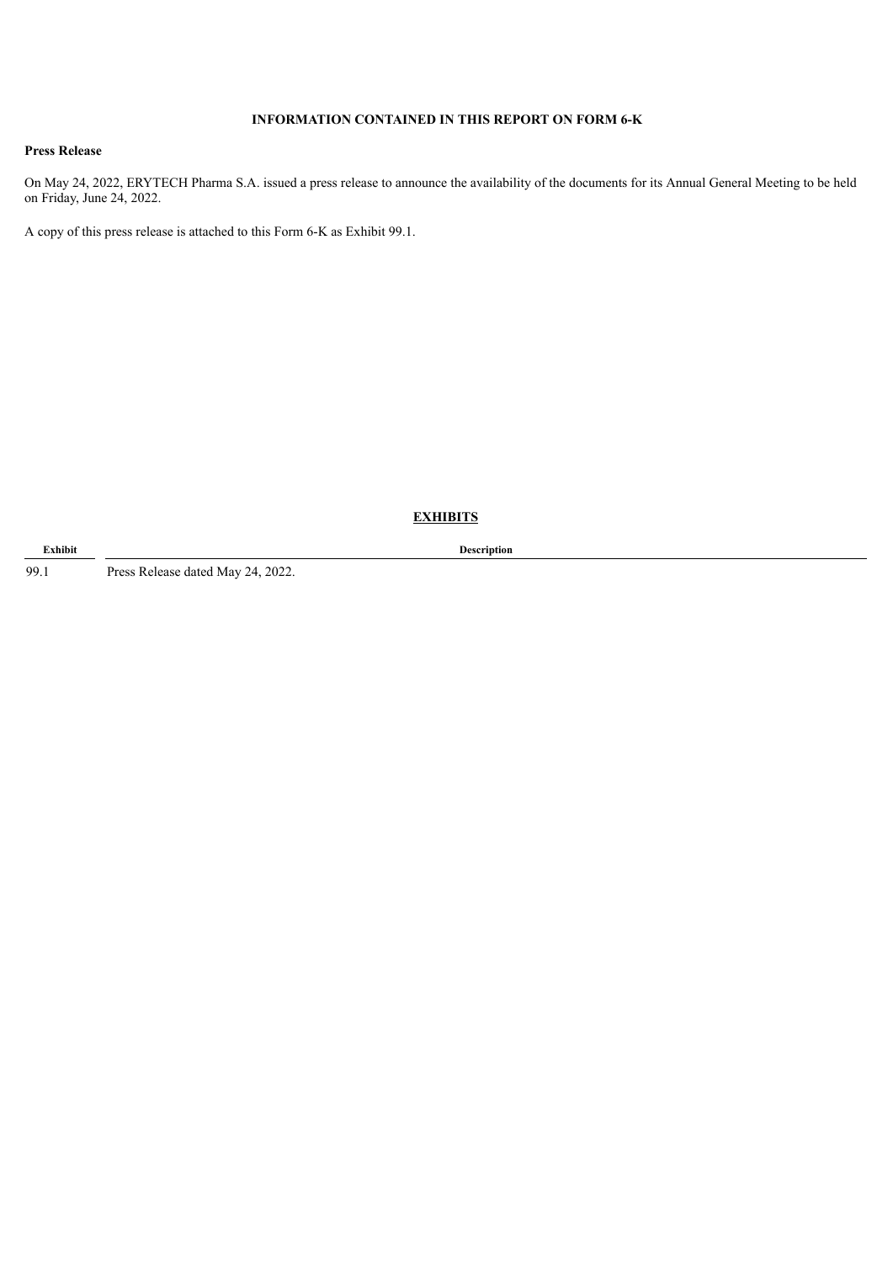## **INFORMATION CONTAINED IN THIS REPORT ON FORM 6-K**

## **Press Release**

On May 24, 2022, ERYTECH Pharma S.A. issued a press release to announce the availability of the documents for its Annual General Meeting to be held on Friday, June 24, 2022.

A copy of this press release is attached to this Form 6-K as Exhibit 99.1.

**EXHIBITS**

99.1 Press Release dated May 24, 2022.

**Exhibit Description**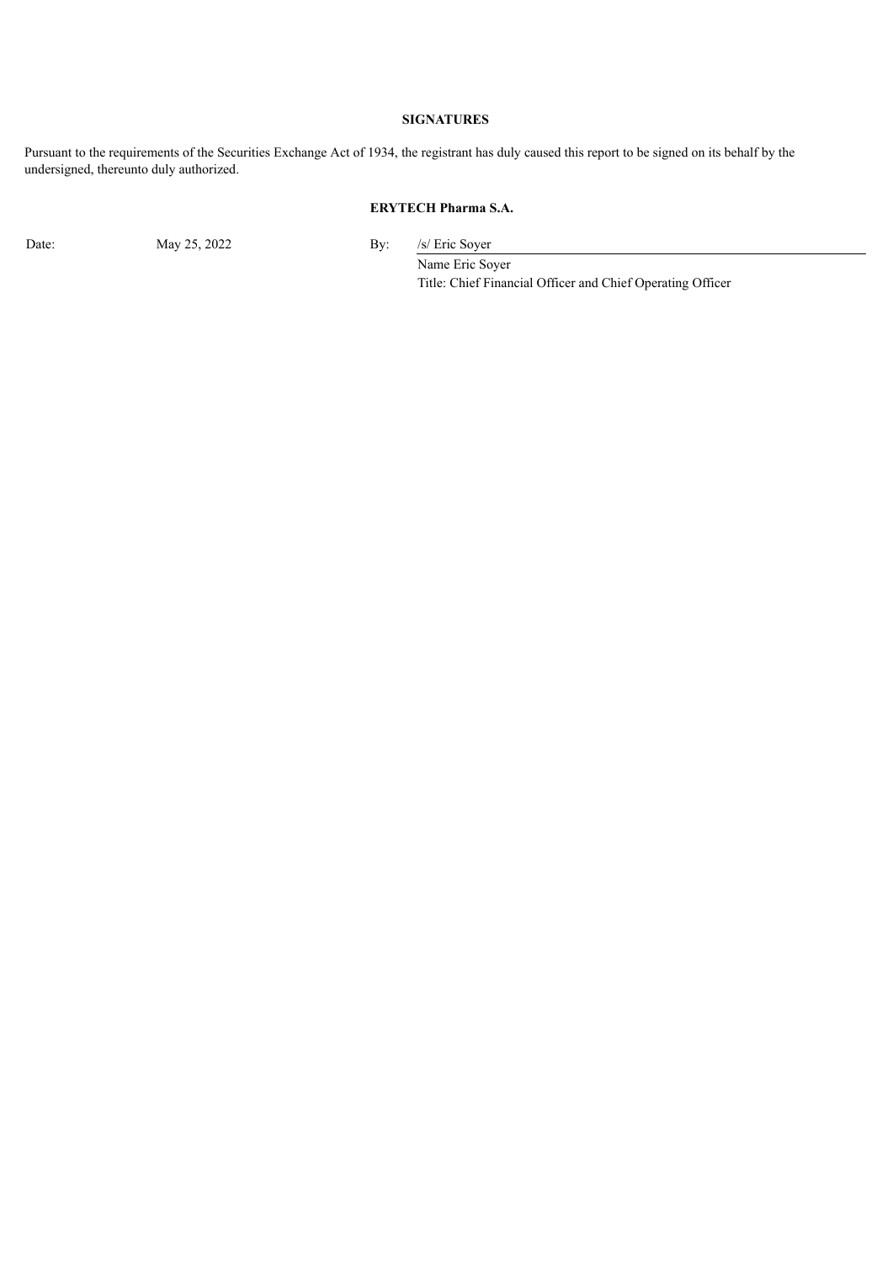## **SIGNATURES**

Pursuant to the requirements of the Securities Exchange Act of 1934, the registrant has duly caused this report to be signed on its behalf by the undersigned, thereunto duly authorized.

# **ERYTECH Pharma S.A.**

Date: May 25, 2022 By: /s/ Eric Soyer

Name Eric Soyer Title: Chief Financial Officer and Chief Operating Officer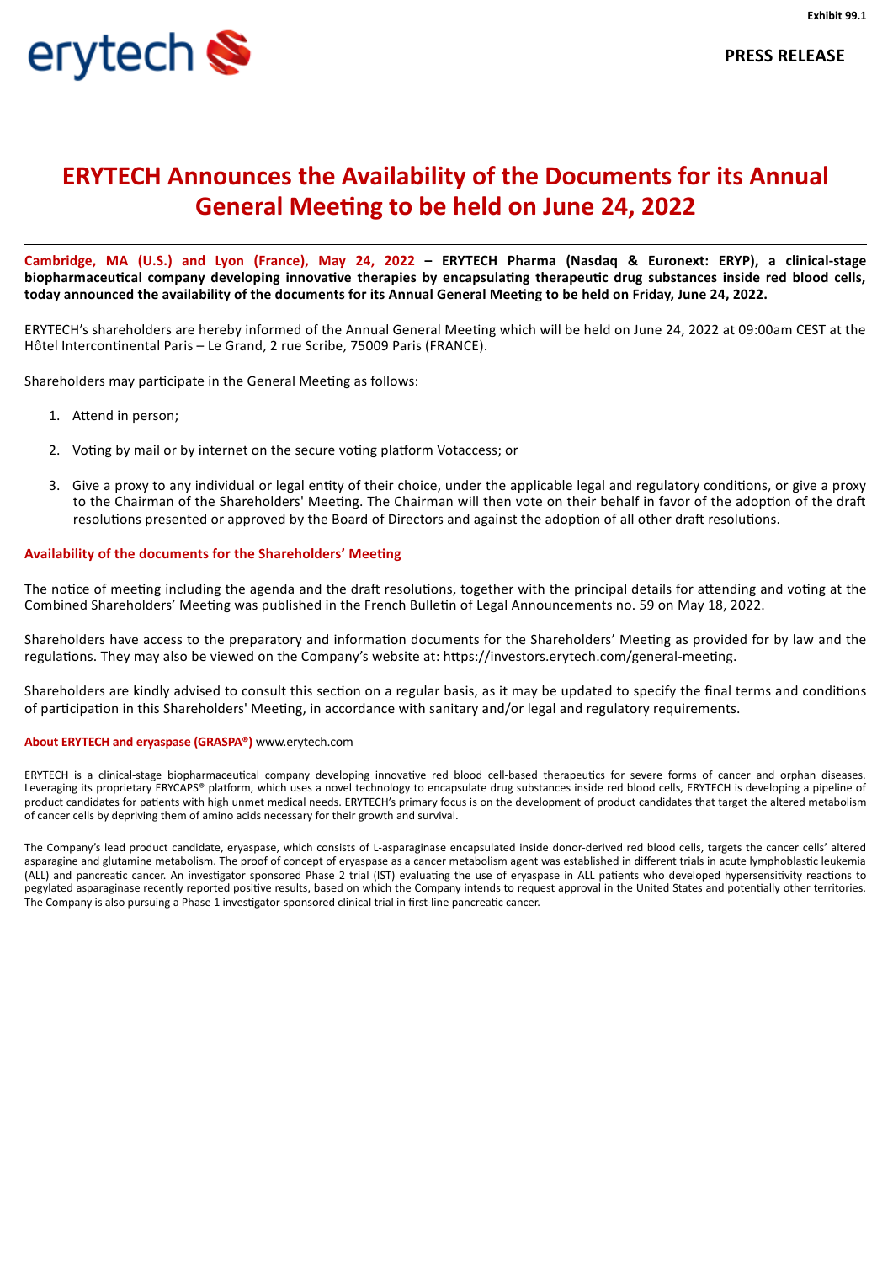

Cambridge, MA (U.S.) and Lyon (France), May 24, 2022 - ERYTECH Pharma (Nasdaq & Euronext: ERYP), a clinical-stage **biopharmaceutical company developing innovative therapies by encapsulating therapeutic drug substances inside red blood cells,** today announced the availability of the documents for its Annual General Meeting to be held on Friday, June 24, 2022.

ERYTECH's shareholders are hereby informed of the Annual General Meeting which will be held on June 24, 2022 at 09:00am CEST at the Hôtel Intercontinental Paris – Le Grand, 2 rue Scribe, 75009 Paris (FRANCE).

Shareholders may participate in the General Meeting as follows:

- 1. Attend in person;
- 2. Voting by mail or by internet on the secure voting platform Votaccess; or
- 3. Give a proxy to any individual or legal entity of their choice, under the applicable legal and regulatory conditions, or give a proxy to the Chairman of the Shareholders' Meeting. The Chairman will then vote on their behalf in favor of the adoption of the draft resolutions presented or approved by the Board of Directors and against the adoption of all other draft resolutions.

#### **Availability of the documents for the Shareholders' Meeting**

The notice of meeting including the agenda and the draft resolutions, together with the principal details for attending and voting at the Combined Shareholders' Meeting was published in the French Bulletin of Legal Announcements no. 59 on May 18, 2022.

Shareholders have access to the preparatory and information documents for the Shareholders' Meeting as provided for by law and the regulations. They may also be viewed on the Company's website at: https://investors.erytech.com/general-meeting.

Shareholders are kindly advised to consult this section on a regular basis, as it may be updated to specify the final terms and conditions of participation in this Shareholders' Meeting, in accordance with sanitary and/or legal and regulatory requirements.

#### **About ERYTECH and eryaspase (GRASPA®)** www.erytech.com

ERYTECH is a clinical-stage biopharmaceutical company developing innovative red blood cell-based therapeutics for severe forms of cancer and orphan diseases. Leveraging its proprietary ERYCAPS® platform, which uses a novel technology to encapsulate drug substances inside red blood cells, ERYTECH is developing a pipeline of product candidates for patients with high unmet medical needs. ERYTECH's primary focus is on the development of product candidates that target the altered metabolism of cancer cells by depriving them of amino acids necessary for their growth and survival.

The Company's lead product candidate, eryaspase, which consists of L-asparaginase encapsulated inside donor-derived red blood cells, targets the cancer cells' altered asparagine and glutamine metabolism. The proof of concept of eryaspase as a cancer metabolism agent was established in different trials in acute lymphoblastic leukemia (ALL) and pancreatic cancer. An investigator sponsored Phase 2 trial (IST) evaluating the use of eryaspase in ALL patients who developed hypersensitivity reactions to pegylated asparaginase recently reported positive results, based on which the Company intends to request approval in the United States and potentially other territories. The Company is also pursuing a Phase 1 investigator-sponsored clinical trial in first-line pancreatic cancer.